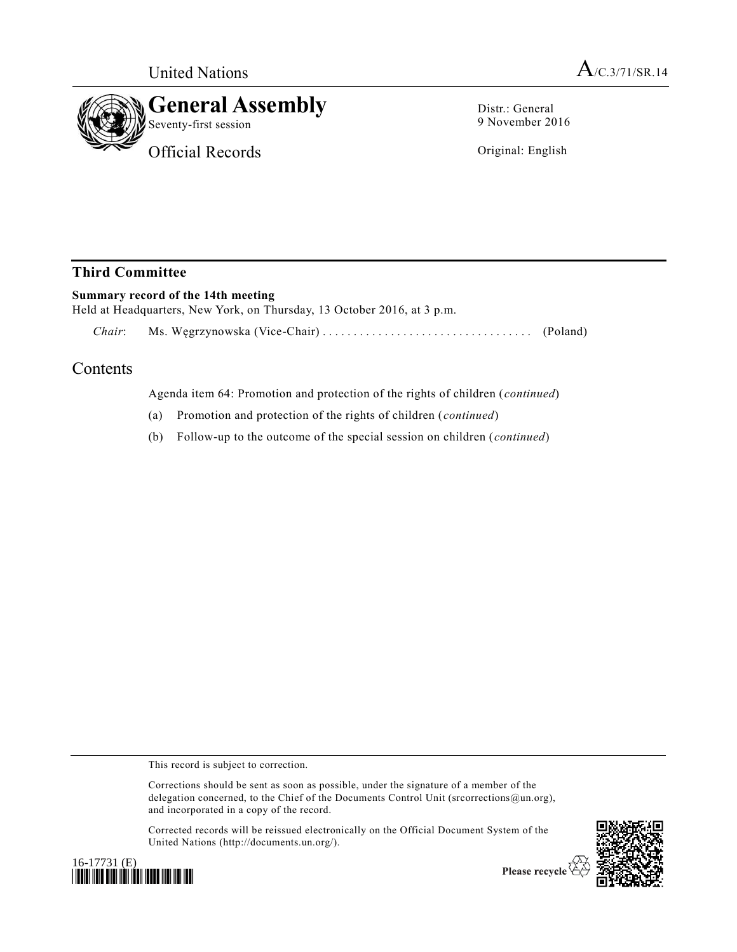

Distr.: General 9 November 2016

Original: English

## **Third Committee**

## **Summary record of the 14th meeting**  Held at Headquarters, New York, on Thursday, 13 October 2016, at 3 p.m. *Chair*: Ms. Węgrzynowska (Vice-Chair) ................................ . . (Poland)

## Contents

Agenda item 64: Promotion and protection of the rights of children (*continued*)

- (a) Promotion and protection of the rights of children (*continued*)
- (b) Follow-up to the outcome of the special session on children (*continued*)

This record is subject to correction.

Corrections should be sent as soon as possible, under the signature of a member of the delegation concerned, to the Chief of the Documents Control Unit (srcorrections@un.org), and incorporated in a copy of the record.

Corrected records will be reissued electronically on the Official Document System of the United Nations (http://documents.un.org/).



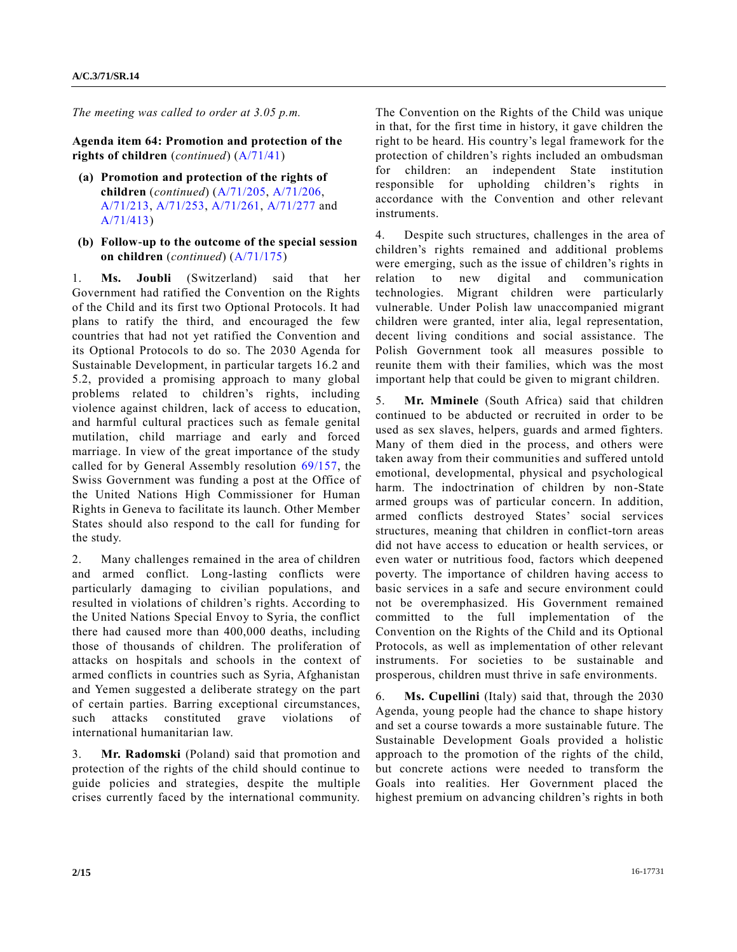*The meeting was called to order at 3.05 p.m.* 

**Agenda item 64: Promotion and protection of the rights of children** (*continued*) [\(A/71/41\)](http://undocs.org/A/71/41)

- **(a) Promotion and protection of the rights of children** (*continued*) [\(A/71/205,](http://undocs.org/A/71/205) [A/71/206,](http://undocs.org/A/71/206) [A/71/213,](http://undocs.org/A/71/213) [A/71/253,](http://undocs.org/A/71/253) [A/71/261,](http://undocs.org/A/71/261) [A/71/277](http://undocs.org/A/71/277) and [A/71/413\)](http://undocs.org/A/71/413)
- **(b) Follow-up to the outcome of the special session on children** (*continued*) [\(A/71/175\)](http://undocs.org/A/71/175)

1. **Ms. Joubli** (Switzerland) said that her Government had ratified the Convention on the Rights of the Child and its first two Optional Protocols. It had plans to ratify the third, and encouraged the few countries that had not yet ratified the Convention and its Optional Protocols to do so. The 2030 Agenda for Sustainable Development, in particular targets 16.2 and 5.2, provided a promising approach to many global problems related to children's rights, including violence against children, lack of access to education, and harmful cultural practices such as female genital mutilation, child marriage and early and forced marriage. In view of the great importance of the study called for by General Assembly resolution [69/157,](http://undocs.org/A/RES/69/157) the Swiss Government was funding a post at the Office of the United Nations High Commissioner for Human Rights in Geneva to facilitate its launch. Other Member States should also respond to the call for funding for the study.

2. Many challenges remained in the area of children and armed conflict. Long-lasting conflicts were particularly damaging to civilian populations, and resulted in violations of children's rights. According to the United Nations Special Envoy to Syria, the conflict there had caused more than 400,000 deaths, including those of thousands of children. The proliferation of attacks on hospitals and schools in the context of armed conflicts in countries such as Syria, Afghanistan and Yemen suggested a deliberate strategy on the part of certain parties. Barring exceptional circumstances, such attacks constituted grave violations of international humanitarian law.

3. **Mr. Radomski** (Poland) said that promotion and protection of the rights of the child should continue to guide policies and strategies, despite the multiple crises currently faced by the international community. The Convention on the Rights of the Child was unique in that, for the first time in history, it gave children the right to be heard. His country's legal framework for the protection of children's rights included an ombudsman for children: an independent State institution responsible for upholding children's rights in accordance with the Convention and other relevant instruments.

4. Despite such structures, challenges in the area of children's rights remained and additional problems were emerging, such as the issue of children's rights in relation to new digital and communication technologies. Migrant children were particularly vulnerable. Under Polish law unaccompanied migrant children were granted, inter alia, legal representation, decent living conditions and social assistance. The Polish Government took all measures possible to reunite them with their families, which was the most important help that could be given to migrant children.

5. **Mr. Mminele** (South Africa) said that children continued to be abducted or recruited in order to be used as sex slaves, helpers, guards and armed fighters. Many of them died in the process, and others were taken away from their communities and suffered untold emotional, developmental, physical and psychological harm. The indoctrination of children by non-State armed groups was of particular concern. In addition, armed conflicts destroyed States' social services structures, meaning that children in conflict-torn areas did not have access to education or health services, or even water or nutritious food, factors which deepened poverty. The importance of children having access to basic services in a safe and secure environment could not be overemphasized. His Government remained committed to the full implementation of the Convention on the Rights of the Child and its Optional Protocols, as well as implementation of other relevant instruments. For societies to be sustainable and prosperous, children must thrive in safe environments.

6. **Ms. Cupellini** (Italy) said that, through the 2030 Agenda, young people had the chance to shape history and set a course towards a more sustainable future. The Sustainable Development Goals provided a holistic approach to the promotion of the rights of the child, but concrete actions were needed to transform the Goals into realities. Her Government placed the highest premium on advancing children's rights in both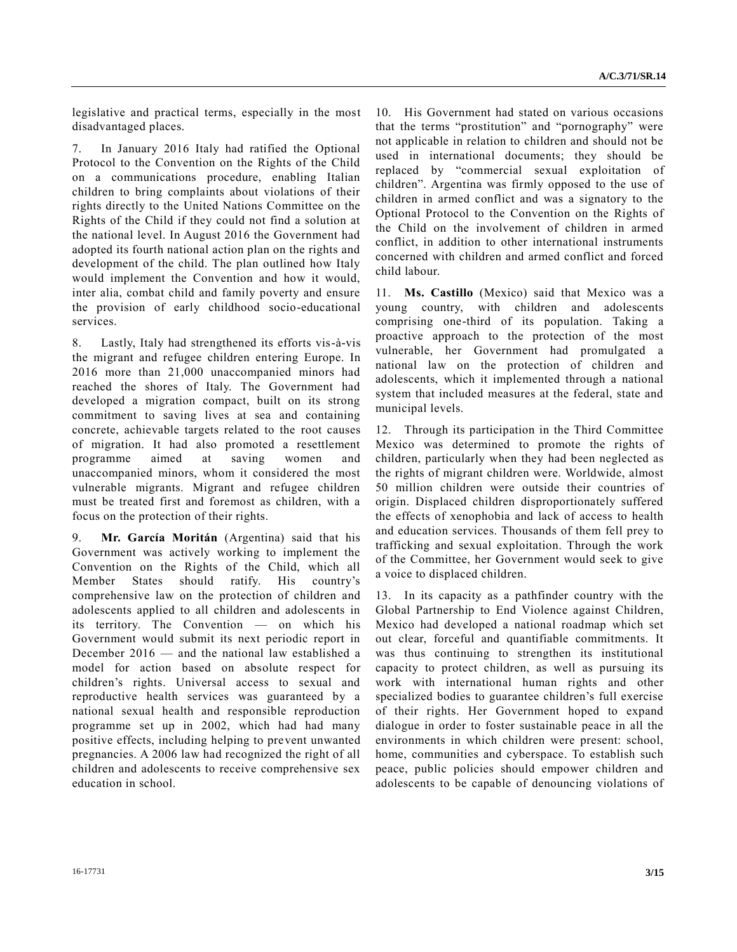legislative and practical terms, especially in the most disadvantaged places.

7. In January 2016 Italy had ratified the Optional Protocol to the Convention on the Rights of the Child on a communications procedure, enabling Italian children to bring complaints about violations of their rights directly to the United Nations Committee on the Rights of the Child if they could not find a solution at the national level. In August 2016 the Government had adopted its fourth national action plan on the rights and development of the child. The plan outlined how Italy would implement the Convention and how it would, inter alia, combat child and family poverty and ensure the provision of early childhood socio-educational services.

8. Lastly, Italy had strengthened its efforts vis-à-vis the migrant and refugee children entering Europe. In 2016 more than 21,000 unaccompanied minors had reached the shores of Italy. The Government had developed a migration compact, built on its strong commitment to saving lives at sea and containing concrete, achievable targets related to the root causes of migration. It had also promoted a resettlement programme aimed at saving women and unaccompanied minors, whom it considered the most vulnerable migrants. Migrant and refugee children must be treated first and foremost as children, with a focus on the protection of their rights.

9. **Mr. García Moritán** (Argentina) said that his Government was actively working to implement the Convention on the Rights of the Child, which all Member States should ratify. His country's comprehensive law on the protection of children and adolescents applied to all children and adolescents in its territory. The Convention — on which his Government would submit its next periodic report in December 2016 — and the national law established a model for action based on absolute respect for children's rights. Universal access to sexual and reproductive health services was guaranteed by a national sexual health and responsible reproduction programme set up in 2002, which had had many positive effects, including helping to prevent unwanted pregnancies. A 2006 law had recognized the right of all children and adolescents to receive comprehensive sex education in school.

10. His Government had stated on various occasions that the terms "prostitution" and "pornography" were not applicable in relation to children and should not be used in international documents; they should be replaced by "commercial sexual exploitation of children". Argentina was firmly opposed to the use of children in armed conflict and was a signatory to the Optional Protocol to the Convention on the Rights of the Child on the involvement of children in armed conflict, in addition to other international instruments concerned with children and armed conflict and forced child labour.

11. **Ms. Castillo** (Mexico) said that Mexico was a young country, with children and adolescents comprising one-third of its population. Taking a proactive approach to the protection of the most vulnerable, her Government had promulgated a national law on the protection of children and adolescents, which it implemented through a national system that included measures at the federal, state and municipal levels.

12. Through its participation in the Third Committee Mexico was determined to promote the rights of children, particularly when they had been neglected as the rights of migrant children were. Worldwide, almost 50 million children were outside their countries of origin. Displaced children disproportionately suffered the effects of xenophobia and lack of access to health and education services. Thousands of them fell prey to trafficking and sexual exploitation. Through the work of the Committee, her Government would seek to give a voice to displaced children.

13. In its capacity as a pathfinder country with the Global Partnership to End Violence against Children, Mexico had developed a national roadmap which set out clear, forceful and quantifiable commitments. It was thus continuing to strengthen its institutional capacity to protect children, as well as pursuing its work with international human rights and other specialized bodies to guarantee children's full exercise of their rights. Her Government hoped to expand dialogue in order to foster sustainable peace in all the environments in which children were present: school, home, communities and cyberspace. To establish such peace, public policies should empower children and adolescents to be capable of denouncing violations of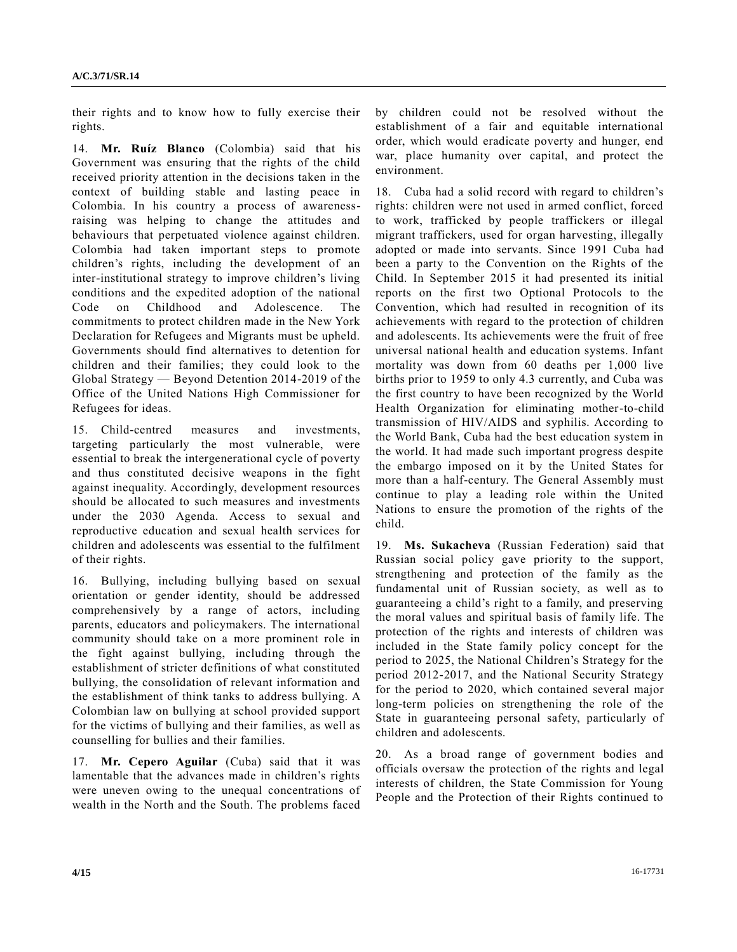their rights and to know how to fully exercise their rights.

14. **Mr. Ruíz Blanco** (Colombia) said that his Government was ensuring that the rights of the child received priority attention in the decisions taken in the context of building stable and lasting peace in Colombia. In his country a process of awarenessraising was helping to change the attitudes and behaviours that perpetuated violence against children. Colombia had taken important steps to promote children's rights, including the development of an inter-institutional strategy to improve children's living conditions and the expedited adoption of the national Code on Childhood and Adolescence. The commitments to protect children made in the New York Declaration for Refugees and Migrants must be upheld. Governments should find alternatives to detention for children and their families; they could look to the Global Strategy — Beyond Detention 2014-2019 of the Office of the United Nations High Commissioner for Refugees for ideas.

15. Child-centred measures and investments, targeting particularly the most vulnerable, were essential to break the intergenerational cycle of poverty and thus constituted decisive weapons in the fight against inequality. Accordingly, development resources should be allocated to such measures and investments under the 2030 Agenda. Access to sexual and reproductive education and sexual health services for children and adolescents was essential to the fulfilment of their rights.

16. Bullying, including bullying based on sexual orientation or gender identity, should be addressed comprehensively by a range of actors, including parents, educators and policymakers. The international community should take on a more prominent role in the fight against bullying, including through the establishment of stricter definitions of what constituted bullying, the consolidation of relevant information and the establishment of think tanks to address bullying. A Colombian law on bullying at school provided support for the victims of bullying and their families, as well as counselling for bullies and their families.

17. **Mr. Cepero Aguilar** (Cuba) said that it was lamentable that the advances made in children's rights were uneven owing to the unequal concentrations of wealth in the North and the South. The problems faced

by children could not be resolved without the establishment of a fair and equitable international order, which would eradicate poverty and hunger, end war, place humanity over capital, and protect the environment.

18. Cuba had a solid record with regard to children's rights: children were not used in armed conflict, forced to work, trafficked by people traffickers or illegal migrant traffickers, used for organ harvesting, illegally adopted or made into servants. Since 1991 Cuba had been a party to the Convention on the Rights of the Child. In September 2015 it had presented its initial reports on the first two Optional Protocols to the Convention, which had resulted in recognition of its achievements with regard to the protection of children and adolescents. Its achievements were the fruit of free universal national health and education systems. Infant mortality was down from 60 deaths per 1,000 live births prior to 1959 to only 4.3 currently, and Cuba was the first country to have been recognized by the World Health Organization for eliminating mother-to-child transmission of HIV/AIDS and syphilis. According to the World Bank, Cuba had the best education system in the world. It had made such important progress despite the embargo imposed on it by the United States for more than a half-century. The General Assembly must continue to play a leading role within the United Nations to ensure the promotion of the rights of the child.

19. **Ms. Sukacheva** (Russian Federation) said that Russian social policy gave priority to the support, strengthening and protection of the family as the fundamental unit of Russian society, as well as to guaranteeing a child's right to a family, and preserving the moral values and spiritual basis of family life. The protection of the rights and interests of children was included in the State family policy concept for the period to 2025, the National Children's Strategy for the period 2012-2017, and the National Security Strategy for the period to 2020, which contained several major long-term policies on strengthening the role of the State in guaranteeing personal safety, particularly of children and adolescents.

20. As a broad range of government bodies and officials oversaw the protection of the rights and legal interests of children, the State Commission for Young People and the Protection of their Rights continued to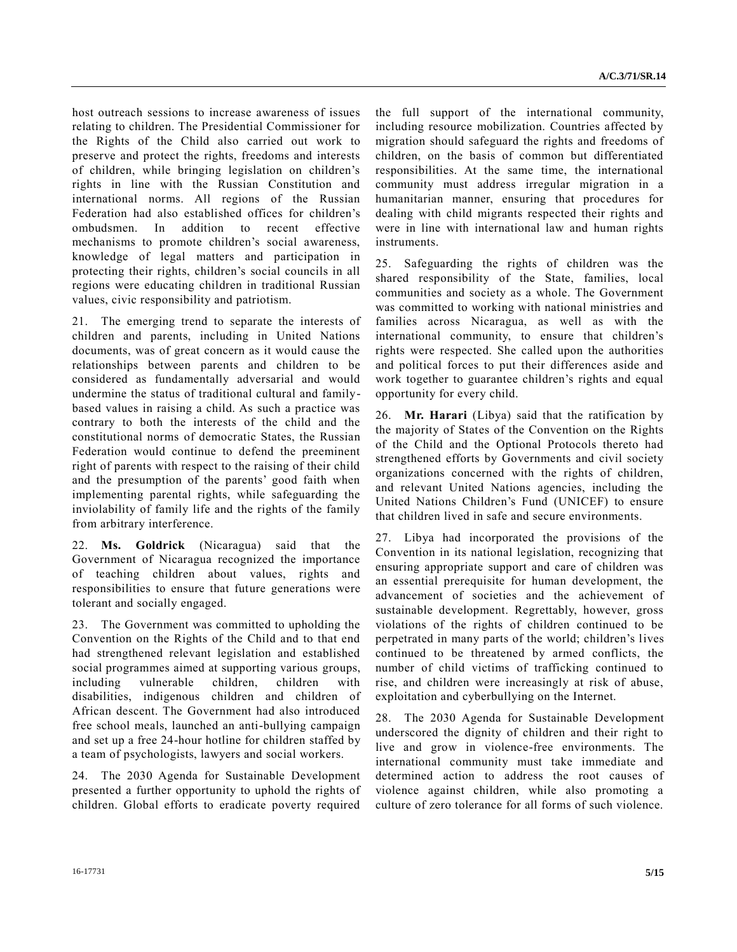host outreach sessions to increase awareness of issues relating to children. The Presidential Commissioner for the Rights of the Child also carried out work to preserve and protect the rights, freedoms and interests of children, while bringing legislation on children's rights in line with the Russian Constitution and international norms. All regions of the Russian Federation had also established offices for children's ombudsmen. In addition to recent effective mechanisms to promote children's social awareness, knowledge of legal matters and participation in protecting their rights, children's social councils in all regions were educating children in traditional Russian values, civic responsibility and patriotism.

21. The emerging trend to separate the interests of children and parents, including in United Nations documents, was of great concern as it would cause the relationships between parents and children to be considered as fundamentally adversarial and would undermine the status of traditional cultural and familybased values in raising a child. As such a practice was contrary to both the interests of the child and the constitutional norms of democratic States, the Russian Federation would continue to defend the preeminent right of parents with respect to the raising of their child and the presumption of the parents' good faith when implementing parental rights, while safeguarding the inviolability of family life and the rights of the family from arbitrary interference.

22. **Ms. Goldrick** (Nicaragua) said that the Government of Nicaragua recognized the importance of teaching children about values, rights and responsibilities to ensure that future generations were tolerant and socially engaged.

23. The Government was committed to upholding the Convention on the Rights of the Child and to that end had strengthened relevant legislation and established social programmes aimed at supporting various groups, including vulnerable children, children with disabilities, indigenous children and children of African descent. The Government had also introduced free school meals, launched an anti-bullying campaign and set up a free 24-hour hotline for children staffed by a team of psychologists, lawyers and social workers.

24. The 2030 Agenda for Sustainable Development presented a further opportunity to uphold the rights of children. Global efforts to eradicate poverty required the full support of the international community, including resource mobilization. Countries affected by migration should safeguard the rights and freedoms of children, on the basis of common but differentiated responsibilities. At the same time, the international community must address irregular migration in a humanitarian manner, ensuring that procedures for dealing with child migrants respected their rights and were in line with international law and human rights instruments.

25. Safeguarding the rights of children was the shared responsibility of the State, families, local communities and society as a whole. The Government was committed to working with national ministries and families across Nicaragua, as well as with the international community, to ensure that children's rights were respected. She called upon the authorities and political forces to put their differences aside and work together to guarantee children's rights and equal opportunity for every child.

26. **Mr. Harari** (Libya) said that the ratification by the majority of States of the Convention on the Rights of the Child and the Optional Protocols thereto had strengthened efforts by Governments and civil society organizations concerned with the rights of children, and relevant United Nations agencies, including the United Nations Children's Fund (UNICEF) to ensure that children lived in safe and secure environments.

27. Libya had incorporated the provisions of the Convention in its national legislation, recognizing that ensuring appropriate support and care of children was an essential prerequisite for human development, the advancement of societies and the achievement of sustainable development. Regrettably, however, gross violations of the rights of children continued to be perpetrated in many parts of the world; children's lives continued to be threatened by armed conflicts, the number of child victims of trafficking continued to rise, and children were increasingly at risk of abuse, exploitation and cyberbullying on the Internet.

28. The 2030 Agenda for Sustainable Development underscored the dignity of children and their right to live and grow in violence-free environments. The international community must take immediate and determined action to address the root causes of violence against children, while also promoting a culture of zero tolerance for all forms of such violence.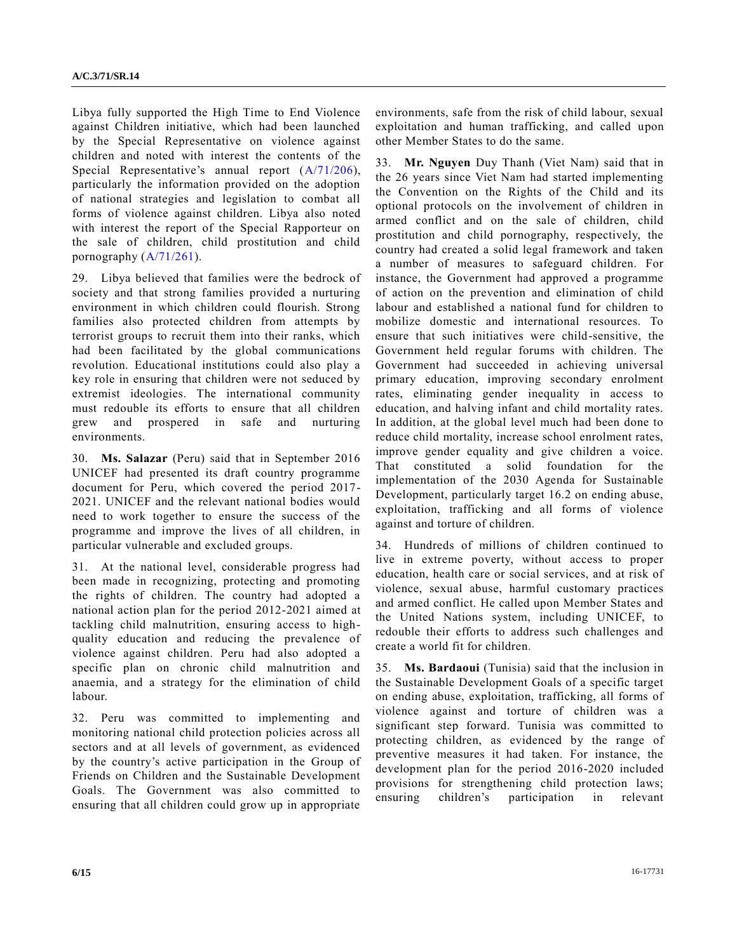Libya fully supported the High Time to End Violence against Children initiative, which had been launched by the Special Representative on violence against children and noted with interest the contents of the Special Representative's annual report  $(A/71/206)$ , particularly the information provided on the adoption of national strategies and legislation to combat all forms of violence against children. Libya also noted with interest the report of the Special Rapporteur on the sale of children, child prostitution and child pornography  $(A/71/261)$ .

29. Libya believed that families were the bedrock of society and that strong families provided a nurturing environment in which children could flourish. Strong families also protected children from attempts by terrorist groups to recruit them into their ranks, which had been facilitated by the global communications revolution. Educational institutions could also play a key role in ensuring that children were not seduced by extremist ideologies. The international community must redouble its efforts to ensure that all children grew and prospered in safe and nurturing environments.

30. **Ms. Salazar** (Peru) said that in September 2016 UNICEF had presented its draft country programme document for Peru, which covered the period 2017- 2021. UNICEF and the relevant national bodies would need to work together to ensure the success of the programme and improve the lives of all children, in particular vulnerable and excluded groups.

31. At the national level, considerable progress had been made in recognizing, protecting and promoting the rights of children. The country had adopted a national action plan for the period 2012-2021 aimed at tackling child malnutrition, ensuring access to highquality education and reducing the prevalence of violence against children. Peru had also adopted a specific plan on chronic child malnutrition and anaemia, and a strategy for the elimination of child labour.

32. Peru was committed to implementing and monitoring national child protection policies across all sectors and at all levels of government, as evidenced by the country's active participation in the Group of Friends on Children and the Sustainable Development Goals. The Government was also committed to ensuring that all children could grow up in appropriate

environments, safe from the risk of child labour, sexual exploitation and human trafficking, and called upon other Member States to do the same.

33. **Mr. Nguyen** Duy Thanh (Viet Nam) said that in the 26 years since Viet Nam had started implementing the Convention on the Rights of the Child and its optional protocols on the involvement of children in armed conflict and on the sale of children, child prostitution and child pornography, respectively, the country had created a solid legal framework and taken a number of measures to safeguard children. For instance, the Government had approved a programme of action on the prevention and elimination of child labour and established a national fund for children to mobilize domestic and international resources. To ensure that such initiatives were child-sensitive, the Government held regular forums with children. The Government had succeeded in achieving universal primary education, improving secondary enrolment rates, eliminating gender inequality in access to education, and halving infant and child mortality rates. In addition, at the global level much had been done to reduce child mortality, increase school enrolment rates, improve gender equality and give children a voice. That constituted a solid foundation for the implementation of the 2030 Agenda for Sustainable Development, particularly target 16.2 on ending abuse, exploitation, trafficking and all forms of violence against and torture of children.

34. Hundreds of millions of children continued to live in extreme poverty, without access to proper education, health care or social services, and at risk of violence, sexual abuse, harmful customary practices and armed conflict. He called upon Member States and the United Nations system, including UNICEF, to redouble their efforts to address such challenges and create a world fit for children.

35. **Ms. Bardaoui** (Tunisia) said that the inclusion in the Sustainable Development Goals of a specific target on ending abuse, exploitation, trafficking, all forms of violence against and torture of children was a significant step forward. Tunisia was committed to protecting children, as evidenced by the range of preventive measures it had taken. For instance, the development plan for the period 2016-2020 included provisions for strengthening child protection laws; ensuring children's participation in relevant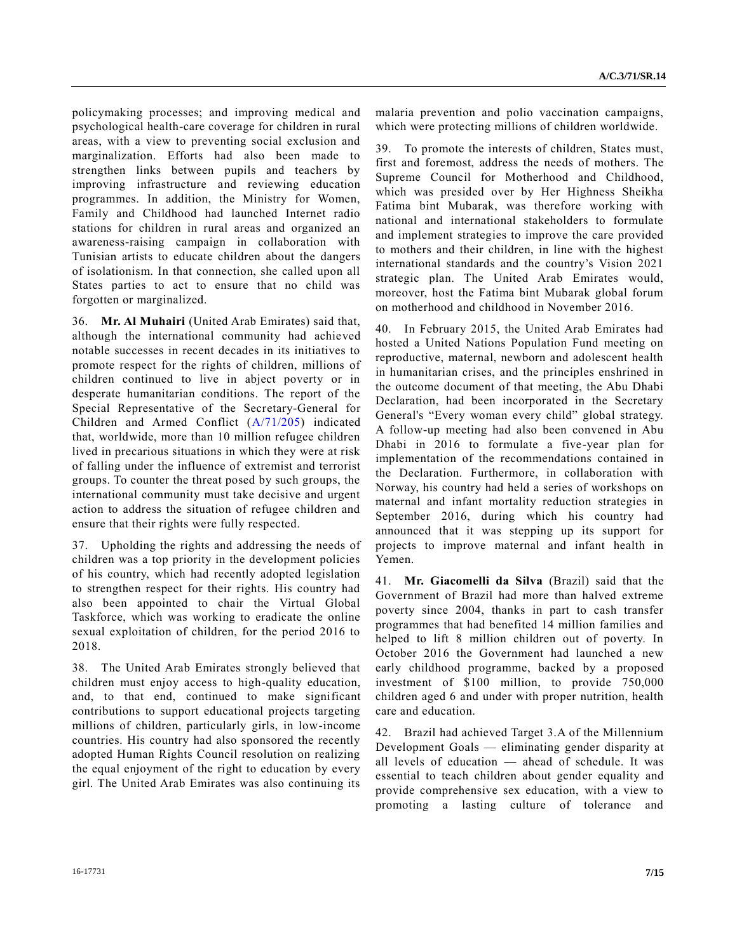policymaking processes; and improving medical and psychological health-care coverage for children in rural areas, with a view to preventing social exclusion and marginalization. Efforts had also been made to strengthen links between pupils and teachers by improving infrastructure and reviewing education programmes. In addition, the Ministry for Women, Family and Childhood had launched Internet radio stations for children in rural areas and organized an awareness-raising campaign in collaboration with Tunisian artists to educate children about the dangers of isolationism. In that connection, she called upon all States parties to act to ensure that no child was forgotten or marginalized.

36. **Mr. Al Muhairi** (United Arab Emirates) said that, although the international community had achieved notable successes in recent decades in its initiatives to promote respect for the rights of children, millions of children continued to live in abject poverty or in desperate humanitarian conditions. The report of the Special Representative of the Secretary-General for Children and Armed Conflict [\(A/71/205\)](http://undocs.org/A/71/205) indicated that, worldwide, more than 10 million refugee children lived in precarious situations in which they were at risk of falling under the influence of extremist and terrorist groups. To counter the threat posed by such groups, the international community must take decisive and urgent action to address the situation of refugee children and ensure that their rights were fully respected.

37. Upholding the rights and addressing the needs of children was a top priority in the development policies of his country, which had recently adopted legislation to strengthen respect for their rights. His country had also been appointed to chair the Virtual Global Taskforce, which was working to eradicate the online sexual exploitation of children, for the period 2016 to 2018.

38. The United Arab Emirates strongly believed that children must enjoy access to high-quality education, and, to that end, continued to make significant contributions to support educational projects targeting millions of children, particularly girls, in low-income countries. His country had also sponsored the recently adopted Human Rights Council resolution on realizing the equal enjoyment of the right to education by every girl. The United Arab Emirates was also continuing its malaria prevention and polio vaccination campaigns, which were protecting millions of children worldwide.

39. To promote the interests of children, States must, first and foremost, address the needs of mothers. The Supreme Council for Motherhood and Childhood, which was presided over by Her Highness Sheikha Fatima bint Mubarak, was therefore working with national and international stakeholders to formulate and implement strategies to improve the care provided to mothers and their children, in line with the highest international standards and the country's Vision 2021 strategic plan. The United Arab Emirates would, moreover, host the Fatima bint Mubarak global forum on motherhood and childhood in November 2016.

40. In February 2015, the United Arab Emirates had hosted a United Nations Population Fund meeting on reproductive, maternal, newborn and adolescent health in humanitarian crises, and the principles enshrined in the outcome document of that meeting, the Abu Dhabi Declaration, had been incorporated in the Secretary General's "Every woman every child" global strategy. A follow-up meeting had also been convened in Abu Dhabi in 2016 to formulate a five-year plan for implementation of the recommendations contained in the Declaration. Furthermore, in collaboration with Norway, his country had held a series of workshops on maternal and infant mortality reduction strategies in September 2016, during which his country had announced that it was stepping up its support for projects to improve maternal and infant health in Yemen.

41. **Mr. Giacomelli da Silva** (Brazil) said that the Government of Brazil had more than halved extreme poverty since 2004, thanks in part to cash transfer programmes that had benefited 14 million families and helped to lift 8 million children out of poverty. In October 2016 the Government had launched a new early childhood programme, backed by a proposed investment of \$100 million, to provide 750,000 children aged 6 and under with proper nutrition, health care and education.

42. Brazil had achieved Target 3.A of the Millennium Development Goals — eliminating gender disparity at all levels of education — ahead of schedule. It was essential to teach children about gender equality and provide comprehensive sex education, with a view to promoting a lasting culture of tolerance and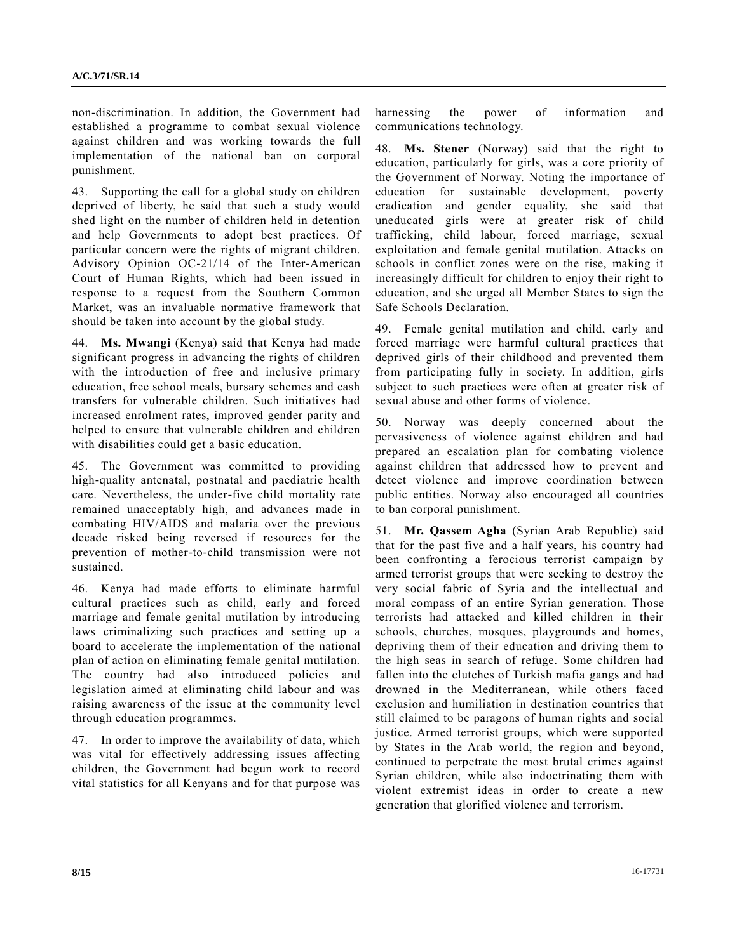non-discrimination. In addition, the Government had established a programme to combat sexual violence against children and was working towards the full implementation of the national ban on corporal punishment.

43. Supporting the call for a global study on children deprived of liberty, he said that such a study would shed light on the number of children held in detention and help Governments to adopt best practices. Of particular concern were the rights of migrant children. Advisory Opinion OC-21/14 of the Inter-American Court of Human Rights, which had been issued in response to a request from the Southern Common Market, was an invaluable normative framework that should be taken into account by the global study.

44. **Ms. Mwangi** (Kenya) said that Kenya had made significant progress in advancing the rights of children with the introduction of free and inclusive primary education, free school meals, bursary schemes and cash transfers for vulnerable children. Such initiatives had increased enrolment rates, improved gender parity and helped to ensure that vulnerable children and children with disabilities could get a basic education.

45. The Government was committed to providing high-quality antenatal, postnatal and paediatric health care. Nevertheless, the under-five child mortality rate remained unacceptably high, and advances made in combating HIV/AIDS and malaria over the previous decade risked being reversed if resources for the prevention of mother-to-child transmission were not sustained.

46. Kenya had made efforts to eliminate harmful cultural practices such as child, early and forced marriage and female genital mutilation by introducing laws criminalizing such practices and setting up a board to accelerate the implementation of the national plan of action on eliminating female genital mutilation. The country had also introduced policies and legislation aimed at eliminating child labour and was raising awareness of the issue at the community level through education programmes.

47. In order to improve the availability of data, which was vital for effectively addressing issues affecting children, the Government had begun work to record vital statistics for all Kenyans and for that purpose was

harnessing the power of information and communications technology.

48. **Ms. Stener** (Norway) said that the right to education, particularly for girls, was a core priority of the Government of Norway. Noting the importance of education for sustainable development, poverty eradication and gender equality, she said that uneducated girls were at greater risk of child trafficking, child labour, forced marriage, sexual exploitation and female genital mutilation. Attacks on schools in conflict zones were on the rise, making it increasingly difficult for children to enjoy their right to education, and she urged all Member States to sign the Safe Schools Declaration.

49. Female genital mutilation and child, early and forced marriage were harmful cultural practices that deprived girls of their childhood and prevented them from participating fully in society. In addition, girls subject to such practices were often at greater risk of sexual abuse and other forms of violence.

50. Norway was deeply concerned about the pervasiveness of violence against children and had prepared an escalation plan for combating violence against children that addressed how to prevent and detect violence and improve coordination between public entities. Norway also encouraged all countries to ban corporal punishment.

51. **Mr. Qassem Agha** (Syrian Arab Republic) said that for the past five and a half years, his country had been confronting a ferocious terrorist campaign by armed terrorist groups that were seeking to destroy the very social fabric of Syria and the intellectual and moral compass of an entire Syrian generation. Those terrorists had attacked and killed children in their schools, churches, mosques, playgrounds and homes, depriving them of their education and driving them to the high seas in search of refuge. Some children had fallen into the clutches of Turkish mafia gangs and had drowned in the Mediterranean, while others faced exclusion and humiliation in destination countries that still claimed to be paragons of human rights and social justice. Armed terrorist groups, which were supported by States in the Arab world, the region and beyond, continued to perpetrate the most brutal crimes against Syrian children, while also indoctrinating them with violent extremist ideas in order to create a new generation that glorified violence and terrorism.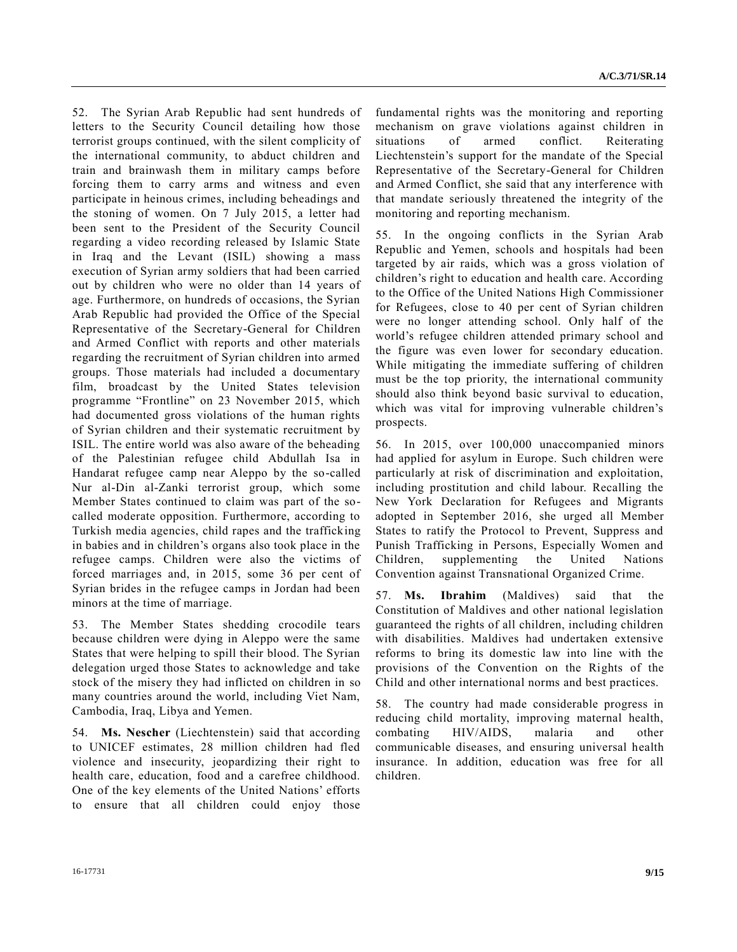52. The Syrian Arab Republic had sent hundreds of letters to the Security Council detailing how those terrorist groups continued, with the silent complicity of the international community, to abduct children and train and brainwash them in military camps before forcing them to carry arms and witness and even participate in heinous crimes, including beheadings and the stoning of women. On 7 July 2015, a letter had been sent to the President of the Security Council regarding a video recording released by Islamic State in Iraq and the Levant (ISIL) showing a mass execution of Syrian army soldiers that had been carried out by children who were no older than 14 years of age. Furthermore, on hundreds of occasions, the Syrian Arab Republic had provided the Office of the Special Representative of the Secretary-General for Children and Armed Conflict with reports and other materials regarding the recruitment of Syrian children into armed groups. Those materials had included a documentary film, broadcast by the United States television programme "Frontline" on 23 November 2015, which had documented gross violations of the human rights of Syrian children and their systematic recruitment by ISIL. The entire world was also aware of the beheading of the Palestinian refugee child Abdullah Isa in Handarat refugee camp near Aleppo by the so-called Nur al-Din al-Zanki terrorist group, which some Member States continued to claim was part of the socalled moderate opposition. Furthermore, according to Turkish media agencies, child rapes and the trafficking in babies and in children's organs also took place in the refugee camps. Children were also the victims of forced marriages and, in 2015, some 36 per cent of Syrian brides in the refugee camps in Jordan had been minors at the time of marriage.

53. The Member States shedding crocodile tears because children were dying in Aleppo were the same States that were helping to spill their blood. The Syrian delegation urged those States to acknowledge and take stock of the misery they had inflicted on children in so many countries around the world, including Viet Nam, Cambodia, Iraq, Libya and Yemen.

54. **Ms. Nescher** (Liechtenstein) said that according to UNICEF estimates, 28 million children had fled violence and insecurity, jeopardizing their right to health care, education, food and a carefree childhood. One of the key elements of the United Nations' efforts to ensure that all children could enjoy those fundamental rights was the monitoring and reporting mechanism on grave violations against children in situations of armed conflict. Reiterating Liechtenstein's support for the mandate of the Special Representative of the Secretary-General for Children and Armed Conflict, she said that any interference with that mandate seriously threatened the integrity of the monitoring and reporting mechanism.

55. In the ongoing conflicts in the Syrian Arab Republic and Yemen, schools and hospitals had been targeted by air raids, which was a gross violation of children's right to education and health care. According to the Office of the United Nations High Commissioner for Refugees, close to 40 per cent of Syrian children were no longer attending school. Only half of the world's refugee children attended primary school and the figure was even lower for secondary education. While mitigating the immediate suffering of children must be the top priority, the international community should also think beyond basic survival to education, which was vital for improving vulnerable children's prospects.

56. In 2015, over 100,000 unaccompanied minors had applied for asylum in Europe. Such children were particularly at risk of discrimination and exploitation, including prostitution and child labour. Recalling the New York Declaration for Refugees and Migrants adopted in September 2016, she urged all Member States to ratify the Protocol to Prevent, Suppress and Punish Trafficking in Persons, Especially Women and Children, supplementing the United Nations Convention against Transnational Organized Crime.

57. **Ms. Ibrahim** (Maldives) said that the Constitution of Maldives and other national legislation guaranteed the rights of all children, including children with disabilities. Maldives had undertaken extensive reforms to bring its domestic law into line with the provisions of the Convention on the Rights of the Child and other international norms and best practices.

58. The country had made considerable progress in reducing child mortality, improving maternal health, combating HIV/AIDS, malaria and other communicable diseases, and ensuring universal health insurance. In addition, education was free for all children.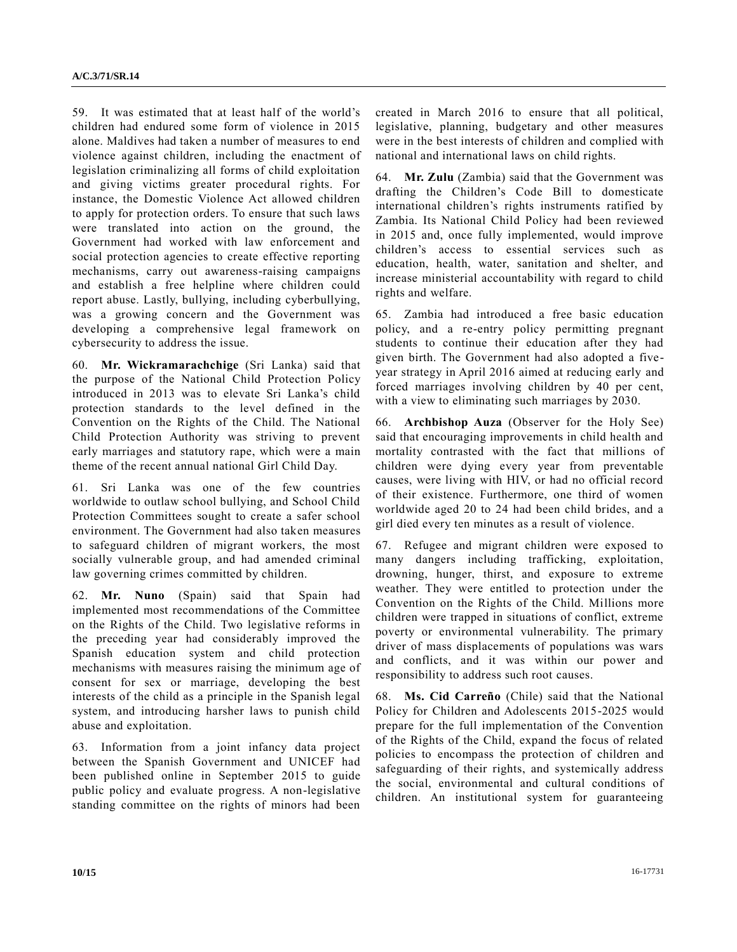59. It was estimated that at least half of the world's children had endured some form of violence in 2015 alone. Maldives had taken a number of measures to end violence against children, including the enactment of legislation criminalizing all forms of child exploitation and giving victims greater procedural rights. For instance, the Domestic Violence Act allowed children to apply for protection orders. To ensure that such laws were translated into action on the ground, the Government had worked with law enforcement and social protection agencies to create effective reporting mechanisms, carry out awareness-raising campaigns and establish a free helpline where children could report abuse. Lastly, bullying, including cyberbullying, was a growing concern and the Government was developing a comprehensive legal framework on cybersecurity to address the issue.

60. **Mr. Wickramarachchige** (Sri Lanka) said that the purpose of the National Child Protection Policy introduced in 2013 was to elevate Sri Lanka's child protection standards to the level defined in the Convention on the Rights of the Child. The National Child Protection Authority was striving to prevent early marriages and statutory rape, which were a main theme of the recent annual national Girl Child Day.

61. Sri Lanka was one of the few countries worldwide to outlaw school bullying, and School Child Protection Committees sought to create a safer school environment. The Government had also taken measures to safeguard children of migrant workers, the most socially vulnerable group, and had amended criminal law governing crimes committed by children.

62. **Mr. Nuno** (Spain) said that Spain had implemented most recommendations of the Committee on the Rights of the Child. Two legislative reforms in the preceding year had considerably improved the Spanish education system and child protection mechanisms with measures raising the minimum age of consent for sex or marriage, developing the best interests of the child as a principle in the Spanish legal system, and introducing harsher laws to punish child abuse and exploitation.

63. Information from a joint infancy data project between the Spanish Government and UNICEF had been published online in September 2015 to guide public policy and evaluate progress. A non-legislative standing committee on the rights of minors had been created in March 2016 to ensure that all political, legislative, planning, budgetary and other measures were in the best interests of children and complied with national and international laws on child rights.

64. **Mr. Zulu** (Zambia) said that the Government was drafting the Children's Code Bill to domesticate international children's rights instruments ratified by Zambia. Its National Child Policy had been reviewed in 2015 and, once fully implemented, would improve children's access to essential services such as education, health, water, sanitation and shelter, and increase ministerial accountability with regard to child rights and welfare.

65. Zambia had introduced a free basic education policy, and a re-entry policy permitting pregnant students to continue their education after they had given birth. The Government had also adopted a fiveyear strategy in April 2016 aimed at reducing early and forced marriages involving children by 40 per cent, with a view to eliminating such marriages by 2030.

66. **Archbishop Auza** (Observer for the Holy See) said that encouraging improvements in child health and mortality contrasted with the fact that millions of children were dying every year from preventable causes, were living with HIV, or had no official record of their existence. Furthermore, one third of women worldwide aged 20 to 24 had been child brides, and a girl died every ten minutes as a result of violence.

67. Refugee and migrant children were exposed to many dangers including trafficking, exploitation, drowning, hunger, thirst, and exposure to extreme weather. They were entitled to protection under the Convention on the Rights of the Child. Millions more children were trapped in situations of conflict, extreme poverty or environmental vulnerability. The primary driver of mass displacements of populations was wars and conflicts, and it was within our power and responsibility to address such root causes.

68. **Ms. Cid Carreño** (Chile) said that the National Policy for Children and Adolescents 2015-2025 would prepare for the full implementation of the Convention of the Rights of the Child, expand the focus of related policies to encompass the protection of children and safeguarding of their rights, and systemically address the social, environmental and cultural conditions of children. An institutional system for guaranteeing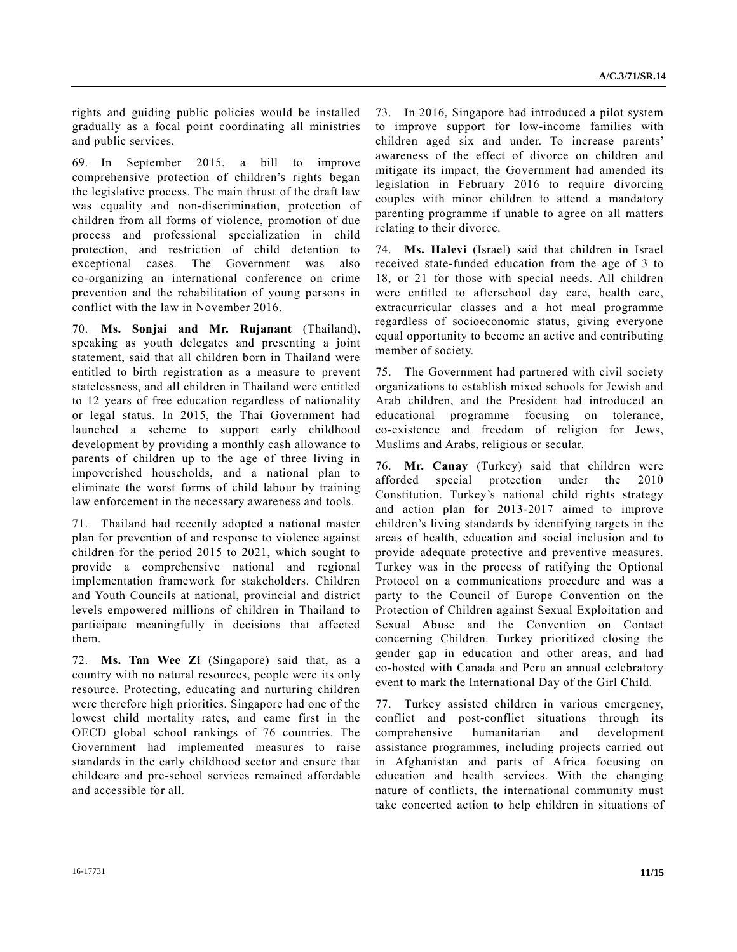rights and guiding public policies would be installed gradually as a focal point coordinating all ministries and public services.

69. In September 2015, a bill to improve comprehensive protection of children's rights began the legislative process. The main thrust of the draft law was equality and non-discrimination, protection of children from all forms of violence, promotion of due process and professional specialization in child protection, and restriction of child detention to exceptional cases. The Government was also co-organizing an international conference on crime prevention and the rehabilitation of young persons in conflict with the law in November 2016.

70. **Ms. Sonjai and Mr. Rujanant** (Thailand), speaking as youth delegates and presenting a joint statement, said that all children born in Thailand were entitled to birth registration as a measure to prevent statelessness, and all children in Thailand were entitled to 12 years of free education regardless of nationality or legal status. In 2015, the Thai Government had launched a scheme to support early childhood development by providing a monthly cash allowance to parents of children up to the age of three living in impoverished households, and a national plan to eliminate the worst forms of child labour by training law enforcement in the necessary awareness and tools.

71. Thailand had recently adopted a national master plan for prevention of and response to violence against children for the period 2015 to 2021, which sought to provide a comprehensive national and regional implementation framework for stakeholders. Children and Youth Councils at national, provincial and district levels empowered millions of children in Thailand to participate meaningfully in decisions that affected them.

72. **Ms. Tan Wee Zi** (Singapore) said that, as a country with no natural resources, people were its only resource. Protecting, educating and nurturing children were therefore high priorities. Singapore had one of the lowest child mortality rates, and came first in the OECD global school rankings of 76 countries. The Government had implemented measures to raise standards in the early childhood sector and ensure that childcare and pre-school services remained affordable and accessible for all.

73. In 2016, Singapore had introduced a pilot system to improve support for low-income families with children aged six and under. To increase parents' awareness of the effect of divorce on children and mitigate its impact, the Government had amended its legislation in February 2016 to require divorcing couples with minor children to attend a mandatory parenting programme if unable to agree on all matters relating to their divorce.

74. **Ms. Halevi** (Israel) said that children in Israel received state-funded education from the age of 3 to 18, or 21 for those with special needs. All children were entitled to afterschool day care, health care, extracurricular classes and a hot meal programme regardless of socioeconomic status, giving everyone equal opportunity to become an active and contributing member of society.

75. The Government had partnered with civil society organizations to establish mixed schools for Jewish and Arab children, and the President had introduced an educational programme focusing on tolerance, co-existence and freedom of religion for Jews, Muslims and Arabs, religious or secular.

76. **Mr. Canay** (Turkey) said that children were afforded special protection under the 2010 Constitution. Turkey's national child rights strategy and action plan for 2013-2017 aimed to improve children's living standards by identifying targets in the areas of health, education and social inclusion and to provide adequate protective and preventive measures. Turkey was in the process of ratifying the Optional Protocol on a communications procedure and was a party to the Council of Europe Convention on the Protection of Children against Sexual Exploitation and Sexual Abuse and the Convention on Contact concerning Children. Turkey prioritized closing the gender gap in education and other areas, and had co-hosted with Canada and Peru an annual celebratory event to mark the International Day of the Girl Child.

77. Turkey assisted children in various emergency, conflict and post-conflict situations through its comprehensive humanitarian and development assistance programmes, including projects carried out in Afghanistan and parts of Africa focusing on education and health services. With the changing nature of conflicts, the international community must take concerted action to help children in situations of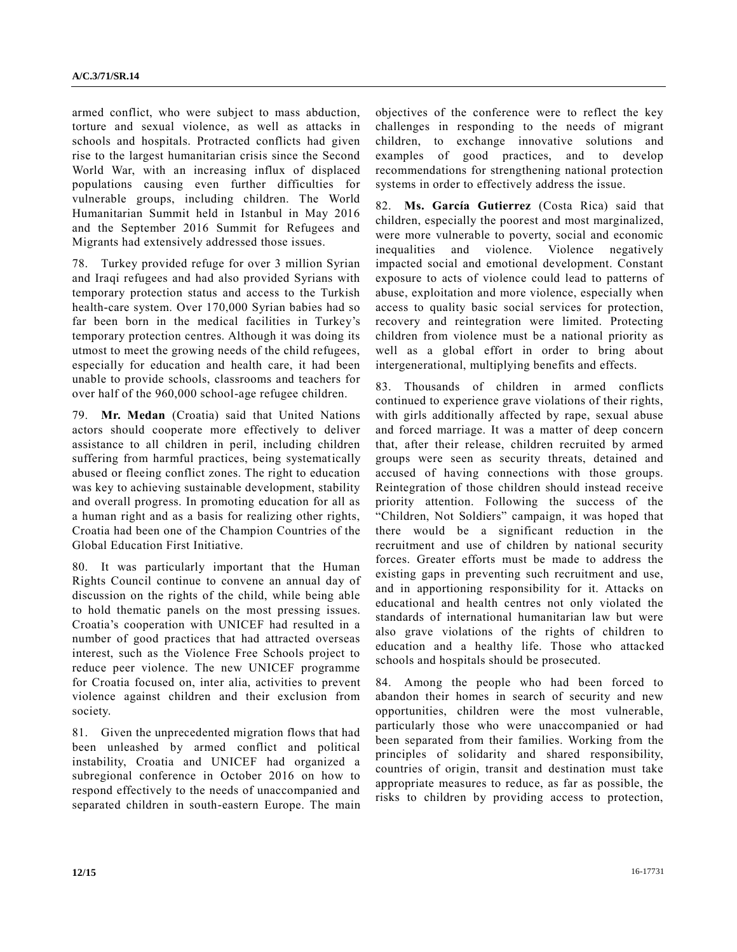armed conflict, who were subject to mass abduction, torture and sexual violence, as well as attacks in schools and hospitals. Protracted conflicts had given rise to the largest humanitarian crisis since the Second World War, with an increasing influx of displaced populations causing even further difficulties for vulnerable groups, including children. The World Humanitarian Summit held in Istanbul in May 2016 and the September 2016 Summit for Refugees and Migrants had extensively addressed those issues.

78. Turkey provided refuge for over 3 million Syrian and Iraqi refugees and had also provided Syrians with temporary protection status and access to the Turkish health-care system. Over 170,000 Syrian babies had so far been born in the medical facilities in Turkey's temporary protection centres. Although it was doing its utmost to meet the growing needs of the child refugees, especially for education and health care, it had been unable to provide schools, classrooms and teachers for over half of the 960,000 school-age refugee children.

79. **Mr. Medan** (Croatia) said that United Nations actors should cooperate more effectively to deliver assistance to all children in peril, including children suffering from harmful practices, being systematically abused or fleeing conflict zones. The right to education was key to achieving sustainable development, stability and overall progress. In promoting education for all as a human right and as a basis for realizing other rights, Croatia had been one of the Champion Countries of the Global Education First Initiative.

80. It was particularly important that the Human Rights Council continue to convene an annual day of discussion on the rights of the child, while being able to hold thematic panels on the most pressing issues. Croatia's cooperation with UNICEF had resulted in a number of good practices that had attracted overseas interest, such as the Violence Free Schools project to reduce peer violence. The new UNICEF programme for Croatia focused on, inter alia, activities to prevent violence against children and their exclusion from society.

81. Given the unprecedented migration flows that had been unleashed by armed conflict and political instability, Croatia and UNICEF had organized a subregional conference in October 2016 on how to respond effectively to the needs of unaccompanied and separated children in south-eastern Europe. The main objectives of the conference were to reflect the key challenges in responding to the needs of migrant children, to exchange innovative solutions and examples of good practices, and to develop recommendations for strengthening national protection systems in order to effectively address the issue.

82. **Ms. García Gutierrez** (Costa Rica) said that children, especially the poorest and most marginalized, were more vulnerable to poverty, social and economic inequalities and violence. Violence negatively impacted social and emotional development. Constant exposure to acts of violence could lead to patterns of abuse, exploitation and more violence, especially when access to quality basic social services for protection, recovery and reintegration were limited. Protecting children from violence must be a national priority as well as a global effort in order to bring about intergenerational, multiplying benefits and effects.

83. Thousands of children in armed conflicts continued to experience grave violations of their rights, with girls additionally affected by rape, sexual abuse and forced marriage. It was a matter of deep concern that, after their release, children recruited by armed groups were seen as security threats, detained and accused of having connections with those groups. Reintegration of those children should instead receive priority attention. Following the success of the "Children, Not Soldiers" campaign, it was hoped that there would be a significant reduction in the recruitment and use of children by national security forces. Greater efforts must be made to address the existing gaps in preventing such recruitment and use, and in apportioning responsibility for it. Attacks on educational and health centres not only violated the standards of international humanitarian law but were also grave violations of the rights of children to education and a healthy life. Those who attacked schools and hospitals should be prosecuted.

84. Among the people who had been forced to abandon their homes in search of security and new opportunities, children were the most vulnerable, particularly those who were unaccompanied or had been separated from their families. Working from the principles of solidarity and shared responsibility, countries of origin, transit and destination must take appropriate measures to reduce, as far as possible, the risks to children by providing access to protection,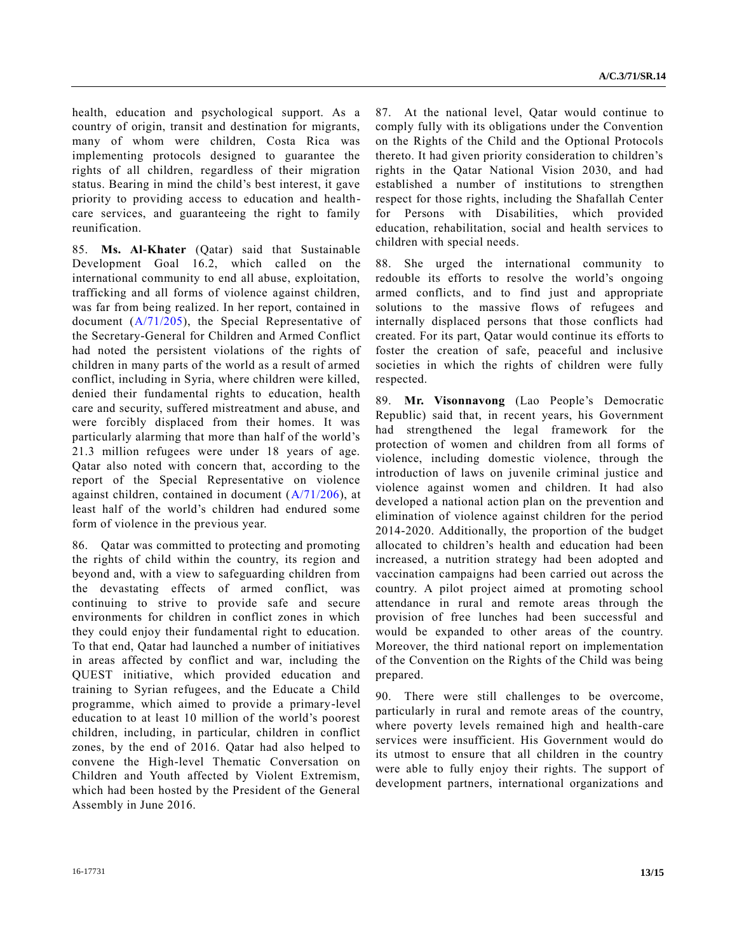health, education and psychological support. As a country of origin, transit and destination for migrants, many of whom were children, Costa Rica was implementing protocols designed to guarantee the rights of all children, regardless of their migration status. Bearing in mind the child's best interest, it gave priority to providing access to education and healthcare services, and guaranteeing the right to family reunification.

85. **Ms. Al-Khater** (Qatar) said that Sustainable Development Goal 16.2, which called on the international community to end all abuse, exploitation, trafficking and all forms of violence against children, was far from being realized. In her report, contained in document [\(A/71/205\)](http://undocs.org/A/71/205), the Special Representative of the Secretary-General for Children and Armed Conflict had noted the persistent violations of the rights of children in many parts of the world as a result of armed conflict, including in Syria, where children were killed, denied their fundamental rights to education, health care and security, suffered mistreatment and abuse, and were forcibly displaced from their homes. It was particularly alarming that more than half of the world's 21.3 million refugees were under 18 years of age. Qatar also noted with concern that, according to the report of the Special Representative on violence against children, contained in document  $(A/71/206)$ , at least half of the world's children had endured some form of violence in the previous year.

86. Qatar was committed to protecting and promoting the rights of child within the country, its region and beyond and, with a view to safeguarding children from the devastating effects of armed conflict, was continuing to strive to provide safe and secure environments for children in conflict zones in which they could enjoy their fundamental right to education. To that end, Qatar had launched a number of initiatives in areas affected by conflict and war, including the QUEST initiative, which provided education and training to Syrian refugees, and the Educate a Child programme, which aimed to provide a primary-level education to at least 10 million of the world's poorest children, including, in particular, children in conflict zones, by the end of 2016. Qatar had also helped to convene the High-level Thematic Conversation on Children and Youth affected by Violent Extremism, which had been hosted by the President of the General Assembly in June 2016.

87. At the national level, Qatar would continue to comply fully with its obligations under the Convention on the Rights of the Child and the Optional Protocols thereto. It had given priority consideration to children's rights in the Qatar National Vision 2030, and had established a number of institutions to strengthen respect for those rights, including the Shafallah Center for Persons with Disabilities, which provided education, rehabilitation, social and health services to children with special needs.

88. She urged the international community to redouble its efforts to resolve the world's ongoing armed conflicts, and to find just and appropriate solutions to the massive flows of refugees and internally displaced persons that those conflicts had created. For its part, Qatar would continue its efforts to foster the creation of safe, peaceful and inclusive societies in which the rights of children were fully respected.

89. **Mr. Visonnavong** (Lao People's Democratic Republic) said that, in recent years, his Government had strengthened the legal framework for the protection of women and children from all forms of violence, including domestic violence, through the introduction of laws on juvenile criminal justice and violence against women and children. It had also developed a national action plan on the prevention and elimination of violence against children for the period 2014-2020. Additionally, the proportion of the budget allocated to children's health and education had been increased, a nutrition strategy had been adopted and vaccination campaigns had been carried out across the country. A pilot project aimed at promoting school attendance in rural and remote areas through the provision of free lunches had been successful and would be expanded to other areas of the country. Moreover, the third national report on implementation of the Convention on the Rights of the Child was being prepared.

90. There were still challenges to be overcome, particularly in rural and remote areas of the country, where poverty levels remained high and health-care services were insufficient. His Government would do its utmost to ensure that all children in the country were able to fully enjoy their rights. The support of development partners, international organizations and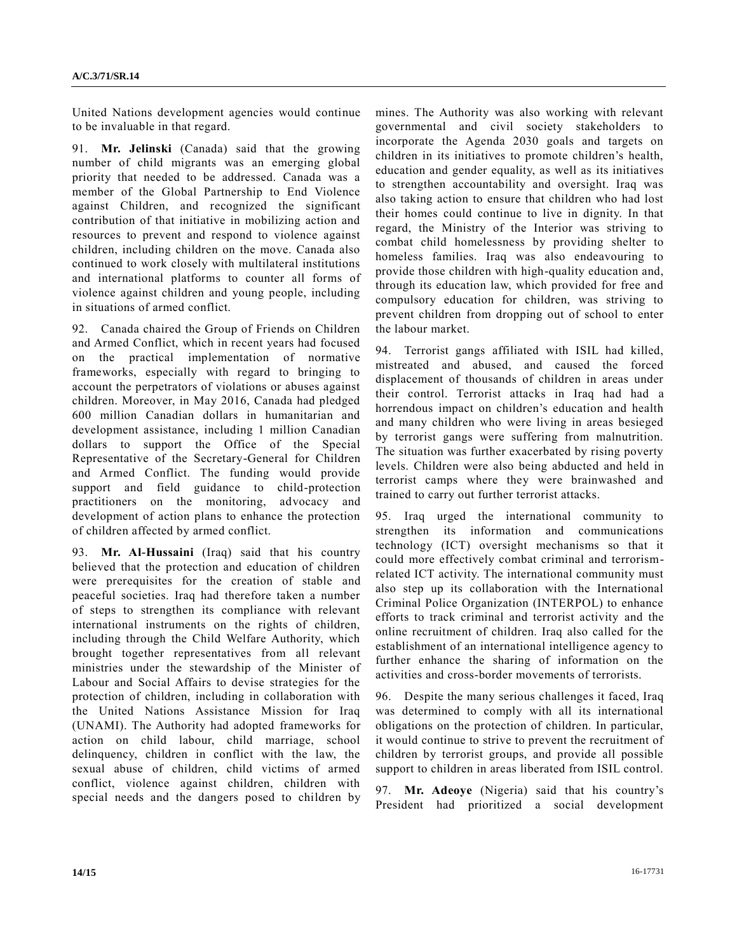United Nations development agencies would continue to be invaluable in that regard.

91. **Mr. Jelinski** (Canada) said that the growing number of child migrants was an emerging global priority that needed to be addressed. Canada was a member of the Global Partnership to End Violence against Children, and recognized the significant contribution of that initiative in mobilizing action and resources to prevent and respond to violence against children, including children on the move. Canada also continued to work closely with multilateral institutions and international platforms to counter all forms of violence against children and young people, including in situations of armed conflict.

92. Canada chaired the Group of Friends on Children and Armed Conflict, which in recent years had focused on the practical implementation of normative frameworks, especially with regard to bringing to account the perpetrators of violations or abuses against children. Moreover, in May 2016, Canada had pledged 600 million Canadian dollars in humanitarian and development assistance, including 1 million Canadian dollars to support the Office of the Special Representative of the Secretary-General for Children and Armed Conflict. The funding would provide support and field guidance to child-protection practitioners on the monitoring, advocacy and development of action plans to enhance the protection of children affected by armed conflict.

93. **Mr. Al-Hussaini** (Iraq) said that his country believed that the protection and education of children were prerequisites for the creation of stable and peaceful societies. Iraq had therefore taken a number of steps to strengthen its compliance with relevant international instruments on the rights of children, including through the Child Welfare Authority, which brought together representatives from all relevant ministries under the stewardship of the Minister of Labour and Social Affairs to devise strategies for the protection of children, including in collaboration with the United Nations Assistance Mission for Iraq (UNAMI). The Authority had adopted frameworks for action on child labour, child marriage, school delinquency, children in conflict with the law, the sexual abuse of children, child victims of armed conflict, violence against children, children with special needs and the dangers posed to children by mines. The Authority was also working with relevant governmental and civil society stakeholders to incorporate the Agenda 2030 goals and targets on children in its initiatives to promote children's health, education and gender equality, as well as its initiatives to strengthen accountability and oversight. Iraq was also taking action to ensure that children who had lost their homes could continue to live in dignity. In that regard, the Ministry of the Interior was striving to combat child homelessness by providing shelter to homeless families. Iraq was also endeavouring to provide those children with high-quality education and, through its education law, which provided for free and compulsory education for children, was striving to prevent children from dropping out of school to enter the labour market.

94. Terrorist gangs affiliated with ISIL had killed, mistreated and abused, and caused the forced displacement of thousands of children in areas under their control. Terrorist attacks in Iraq had had a horrendous impact on children's education and health and many children who were living in areas besieged by terrorist gangs were suffering from malnutrition. The situation was further exacerbated by rising poverty levels. Children were also being abducted and held in terrorist camps where they were brainwashed and trained to carry out further terrorist attacks.

95. Iraq urged the international community to strengthen its information and communications technology (ICT) oversight mechanisms so that it could more effectively combat criminal and terrorismrelated ICT activity. The international community must also step up its collaboration with the International Criminal Police Organization (INTERPOL) to enhance efforts to track criminal and terrorist activity and the online recruitment of children. Iraq also called for the establishment of an international intelligence agency to further enhance the sharing of information on the activities and cross-border movements of terrorists.

96. Despite the many serious challenges it faced, Iraq was determined to comply with all its international obligations on the protection of children. In particular, it would continue to strive to prevent the recruitment of children by terrorist groups, and provide all possible support to children in areas liberated from ISIL control.

97. **Mr. Adeoye** (Nigeria) said that his country's President had prioritized a social development